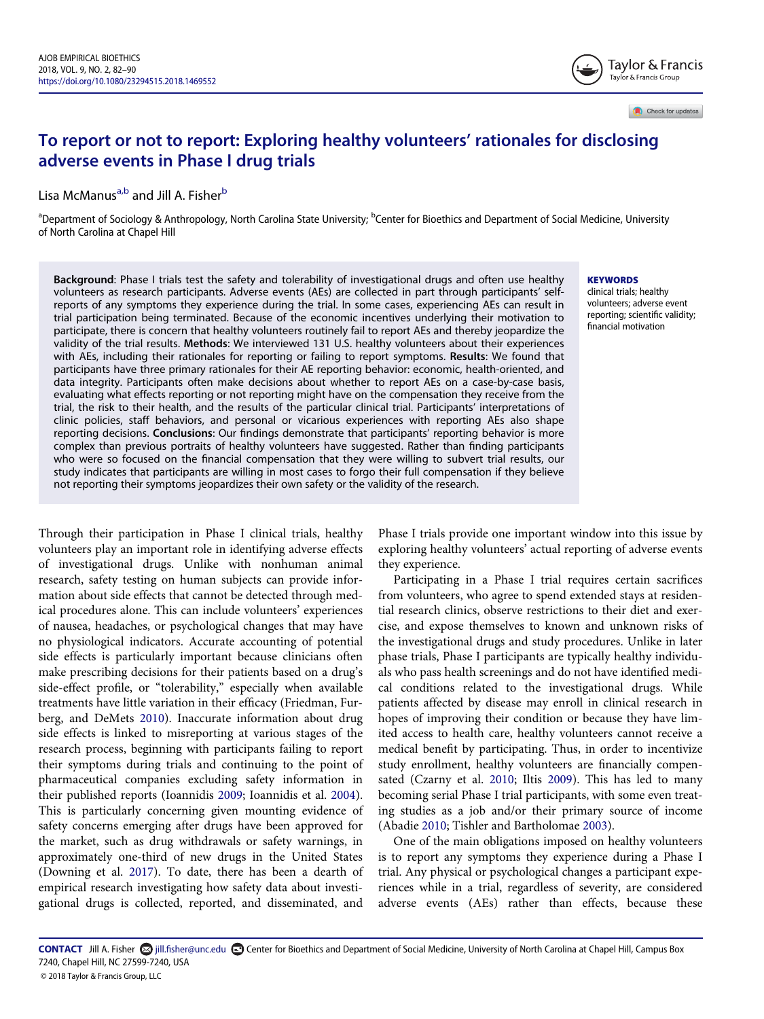# To report or not to report: Exploring healthy volunteers' rationales for disclosing adverse events in Phase I drug trials

Lisa McManus<sup>[a,b](#page-0-0)</sup> and Jill A. Fisher<sup>b</sup>

<span id="page-0-0"></span><sup>a</sup>Department of Sociology & Anthropology, North Carolina State University; <sup>b</sup>Center for Bioethics and Department of Social Medicine, University of North Carolina at Chapel Hill

Background: Phase I trials test the safety and tolerability of investigational drugs and often use healthy volunteers as research participants. Adverse events (AEs) are collected in part through participants' selfreports of any symptoms they experience during the trial. In some cases, experiencing AEs can result in trial participation being terminated. Because of the economic incentives underlying their motivation to participate, there is concern that healthy volunteers routinely fail to report AEs and thereby jeopardize the validity of the trial results. Methods: We interviewed 131 U.S. healthy volunteers about their experiences with AEs, including their rationales for reporting or failing to report symptoms. Results: We found that participants have three primary rationales for their AE reporting behavior: economic, health-oriented, and data integrity. Participants often make decisions about whether to report AEs on a case-by-case basis, evaluating what effects reporting or not reporting might have on the compensation they receive from the trial, the risk to their health, and the results of the particular clinical trial. Participants' interpretations of clinic policies, staff behaviors, and personal or vicarious experiences with reporting AEs also shape reporting decisions. Conclusions: Our findings demonstrate that participants' reporting behavior is more complex than previous portraits of healthy volunteers have suggested. Rather than finding participants who were so focused on the financial compensation that they were willing to subvert trial results, our study indicates that participants are willing in most cases to forgo their full compensation if they believe not reporting their symptoms jeopardizes their own safety or the validity of the research.

<span id="page-0-4"></span>Through their participation in Phase I clinical trials, healthy volunteers play an important role in identifying adverse effects of investigational drugs. Unlike with nonhuman animal research, safety testing on human subjects can provide information about side effects that cannot be detected through medical procedures alone. This can include volunteers' experiences of nausea, headaches, or psychological changes that may have no physiological indicators. Accurate accounting of potential side effects is particularly important because clinicians often make prescribing decisions for their patients based on a drug's side-effect profile, or "tolerability," especially when available treatments have little variation in their efficacy (Friedman, Furberg, and DeMets [2010\)](#page-8-0). Inaccurate information about drug side effects is linked to misreporting at various stages of the research process, beginning with participants failing to report their symptoms during trials and continuing to the point of pharmaceutical companies excluding safety information in their published reports (Ioannidis [2009;](#page-8-1) Ioannidis et al. [2004](#page-8-2)). This is particularly concerning given mounting evidence of safety concerns emerging after drugs have been approved for the market, such as drug withdrawals or safety warnings, in approximately one-third of new drugs in the United States (Downing et al. [2017](#page-8-3)). To date, there has been a dearth of empirical research investigating how safety data about investigational drugs is collected, reported, and disseminated, and **KEYWORDS** 

clinical trials; healthy volunteers; adverse event reporting; scientific validity; financial motivation

Phase I trials provide one important window into this issue by exploring healthy volunteers' actual reporting of adverse events they experience.

Participating in a Phase I trial requires certain sacrifices from volunteers, who agree to spend extended stays at residential research clinics, observe restrictions to their diet and exercise, and expose themselves to known and unknown risks of the investigational drugs and study procedures. Unlike in later phase trials, Phase I participants are typically healthy individuals who pass health screenings and do not have identified medical conditions related to the investigational drugs. While patients affected by disease may enroll in clinical research in hopes of improving their condition or because they have limited access to health care, healthy volunteers cannot receive a medical benefit by participating. Thus, in order to incentivize study enrollment, healthy volunteers are financially compensated (Czarny et al. [2010;](#page-8-4) Iltis [2009](#page-8-5)). This has led to many becoming serial Phase I trial participants, with some even treating studies as a job and/or their primary source of income (Abadie [2010](#page-7-0); Tishler and Bartholomae [2003](#page-8-6)).

One of the main obligations imposed on healthy volunteers is to report any symptoms they experience during a Phase I trial. Any physical or psychological changes a participant experiences while in a trial, regardless of severity, are considered adverse events (AEs) rather than effects, because these

<span id="page-0-5"></span><span id="page-0-3"></span><span id="page-0-2"></span><span id="page-0-1"></span>CONTACT Jill A. Fisher **o** jill.fi[sher@unc.edu](mailto:jill.fisher@unc.edu) **C**onter for Bioethics and Department of Social Medicine, University of North Carolina at Chapel Hill, Campus Box 7240, Chapel Hill, NC 27599-7240, USA © 2018 Taylor & Francis Group, LLC

Check for updates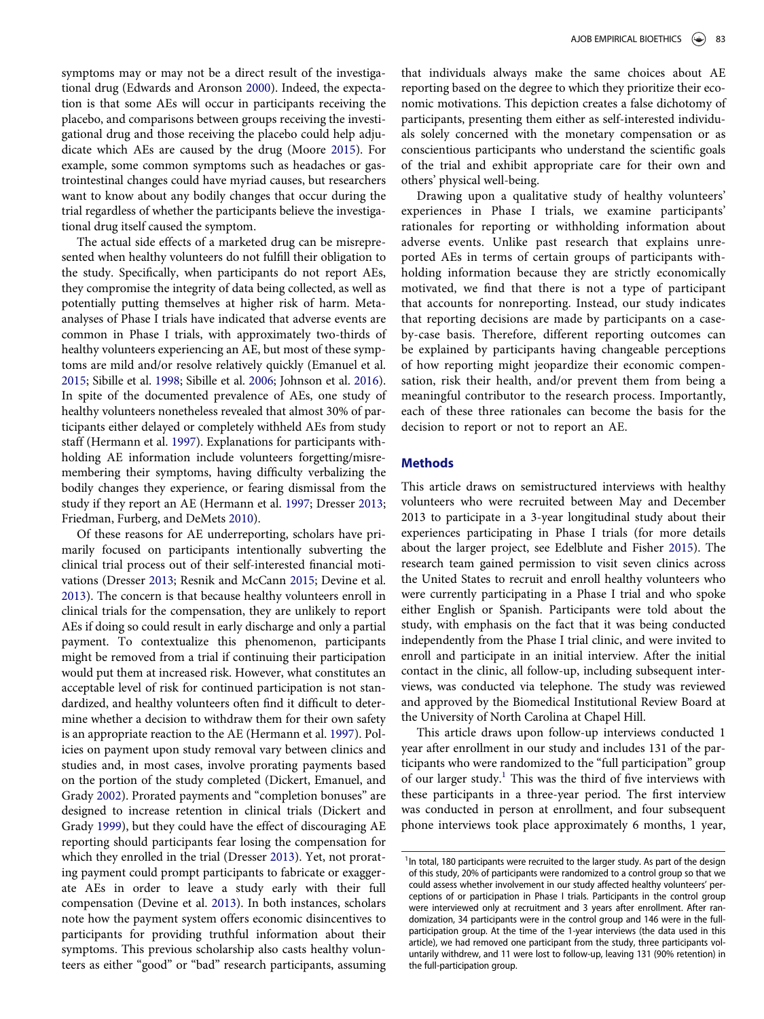<span id="page-1-10"></span><span id="page-1-6"></span>symptoms may or may not be a direct result of the investigational drug (Edwards and Aronson [2000](#page-8-7)). Indeed, the expectation is that some AEs will occur in participants receiving the placebo, and comparisons between groups receiving the investigational drug and those receiving the placebo could help adjudicate which AEs are caused by the drug (Moore [2015\)](#page-8-8). For example, some common symptoms such as headaches or gastrointestinal changes could have myriad causes, but researchers want to know about any bodily changes that occur during the trial regardless of whether the participants believe the investigational drug itself caused the symptom.

<span id="page-1-9"></span><span id="page-1-7"></span>The actual side effects of a marketed drug can be misrepresented when healthy volunteers do not fulfill their obligation to the study. Specifically, when participants do not report AEs, they compromise the integrity of data being collected, as well as potentially putting themselves at higher risk of harm. Metaanalyses of Phase I trials have indicated that adverse events are common in Phase I trials, with approximately two-thirds of healthy volunteers experiencing an AE, but most of these symptoms are mild and/or resolve relatively quickly (Emanuel et al. [2015;](#page-8-9) Sibille et al. [1998;](#page-8-10) Sibille et al. [2006;](#page-8-11) Johnson et al. [2016](#page-8-12)). In spite of the documented prevalence of AEs, one study of healthy volunteers nonetheless revealed that almost 30% of participants either delayed or completely withheld AEs from study staff (Hermann et al. [1997](#page-8-13)). Explanations for participants withholding AE information include volunteers forgetting/misremembering their symptoms, having difficulty verbalizing the bodily changes they experience, or fearing dismissal from the study if they report an AE (Hermann et al. [1997;](#page-8-13) Dresser [2013;](#page-8-14) Friedman, Furberg, and DeMets [2010](#page-8-0)).

<span id="page-1-11"></span><span id="page-1-8"></span><span id="page-1-5"></span><span id="page-1-4"></span><span id="page-1-3"></span><span id="page-1-2"></span><span id="page-1-1"></span><span id="page-1-0"></span>Of these reasons for AE underreporting, scholars have primarily focused on participants intentionally subverting the clinical trial process out of their self-interested financial motivations (Dresser [2013;](#page-8-14) Resnik and McCann [2015;](#page-8-15) Devine et al. [2013\)](#page-8-16). The concern is that because healthy volunteers enroll in clinical trials for the compensation, they are unlikely to report AEs if doing so could result in early discharge and only a partial payment. To contextualize this phenomenon, participants might be removed from a trial if continuing their participation would put them at increased risk. However, what constitutes an acceptable level of risk for continued participation is not standardized, and healthy volunteers often find it difficult to determine whether a decision to withdraw them for their own safety is an appropriate reaction to the AE (Hermann et al. [1997\)](#page-8-13). Policies on payment upon study removal vary between clinics and studies and, in most cases, involve prorating payments based on the portion of the study completed (Dickert, Emanuel, and Grady [2002](#page-8-17)). Prorated payments and "completion bonuses" are designed to increase retention in clinical trials (Dickert and Grady [1999\)](#page-8-18), but they could have the effect of discouraging AE reporting should participants fear losing the compensation for which they enrolled in the trial (Dresser [2013](#page-8-14)). Yet, not prorating payment could prompt participants to fabricate or exaggerate AEs in order to leave a study early with their full compensation (Devine et al. [2013\)](#page-8-16). In both instances, scholars note how the payment system offers economic disincentives to participants for providing truthful information about their symptoms. This previous scholarship also casts healthy volunteers as either "good" or "bad" research participants, assuming

that individuals always make the same choices about AE reporting based on the degree to which they prioritize their economic motivations. This depiction creates a false dichotomy of participants, presenting them either as self-interested individuals solely concerned with the monetary compensation or as conscientious participants who understand the scientific goals of the trial and exhibit appropriate care for their own and others' physical well-being.

Drawing upon a qualitative study of healthy volunteers' experiences in Phase I trials, we examine participants' rationales for reporting or withholding information about adverse events. Unlike past research that explains unreported AEs in terms of certain groups of participants withholding information because they are strictly economically motivated, we find that there is not a type of participant that accounts for nonreporting. Instead, our study indicates that reporting decisions are made by participants on a caseby-case basis. Therefore, different reporting outcomes can be explained by participants having changeable perceptions of how reporting might jeopardize their economic compensation, risk their health, and/or prevent them from being a meaningful contributor to the research process. Importantly, each of these three rationales can become the basis for the decision to report or not to report an AE.

## Methods

This article draws on semistructured interviews with healthy volunteers who were recruited between May and December 2013 to participate in a 3-year longitudinal study about their experiences participating in Phase I trials (for more details about the larger project, see Edelblute and Fisher [2015](#page-8-19)). The research team gained permission to visit seven clinics across the United States to recruit and enroll healthy volunteers who were currently participating in a Phase I trial and who spoke either English or Spanish. Participants were told about the study, with emphasis on the fact that it was being conducted independently from the Phase I trial clinic, and were invited to enroll and participate in an initial interview. After the initial contact in the clinic, all follow-up, including subsequent interviews, was conducted via telephone. The study was reviewed and approved by the Biomedical Institutional Review Board at the University of North Carolina at Chapel Hill.

This article draws upon follow-up interviews conducted 1 year after enrollment in our study and includes 131 of the participants who were randomized to the "full participation" group of our larger study.<sup>1</sup> This was the third of five interviews with these participants in a three-year period. The first interview was conducted in person at enrollment, and four subsequent phone interviews took place approximately 6 months, 1 year,

<sup>&</sup>lt;sup>1</sup>In total, 180 participants were recruited to the larger study. As part of the design of this study, 20% of participants were randomized to a control group so that we could assess whether involvement in our study affected healthy volunteers' perceptions of or participation in Phase I trials. Participants in the control group were interviewed only at recruitment and 3 years after enrollment. After randomization, 34 participants were in the control group and 146 were in the fullparticipation group. At the time of the 1-year interviews (the data used in this article), we had removed one participant from the study, three participants voluntarily withdrew, and 11 were lost to follow-up, leaving 131 (90% retention) in the full-participation group.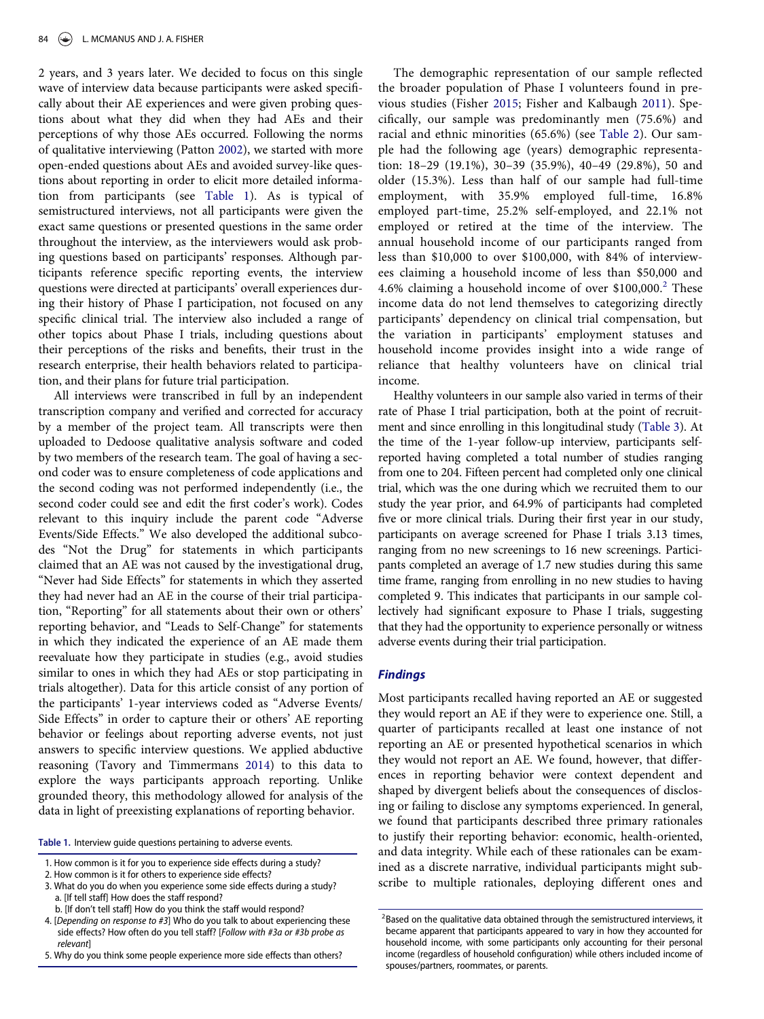<span id="page-2-3"></span><span id="page-2-2"></span>2 years, and 3 years later. We decided to focus on this single wave of interview data because participants were asked specifically about their AE experiences and were given probing questions about what they did when they had AEs and their perceptions of why those AEs occurred. Following the norms of qualitative interviewing (Patton [2002\)](#page-8-20), we started with more open-ended questions about AEs and avoided survey-like questions about reporting in order to elicit more detailed information from participants (see [Table 1](#page-2-0)). As is typical of semistructured interviews, not all participants were given the exact same questions or presented questions in the same order throughout the interview, as the interviewers would ask probing questions based on participants' responses. Although participants reference specific reporting events, the interview questions were directed at participants' overall experiences during their history of Phase I participation, not focused on any specific clinical trial. The interview also included a range of other topics about Phase I trials, including questions about their perceptions of the risks and benefits, their trust in the research enterprise, their health behaviors related to participation, and their plans for future trial participation.

All interviews were transcribed in full by an independent transcription company and verified and corrected for accuracy by a member of the project team. All transcripts were then uploaded to Dedoose qualitative analysis software and coded by two members of the research team. The goal of having a second coder was to ensure completeness of code applications and the second coding was not performed independently (i.e., the second coder could see and edit the first coder's work). Codes relevant to this inquiry include the parent code "Adverse Events/Side Effects." We also developed the additional subcodes "Not the Drug" for statements in which participants claimed that an AE was not caused by the investigational drug, "Never had Side Effects" for statements in which they asserted they had never had an AE in the course of their trial participation, "Reporting" for all statements about their own or others' reporting behavior, and "Leads to Self-Change" for statements in which they indicated the experience of an AE made them reevaluate how they participate in studies (e.g., avoid studies similar to ones in which they had AEs or stop participating in trials altogether). Data for this article consist of any portion of the participants' 1-year interviews coded as "Adverse Events/ Side Effects" in order to capture their or others' AE reporting behavior or feelings about reporting adverse events, not just answers to specific interview questions. We applied abductive reasoning (Tavory and Timmermans [2014\)](#page-8-21) to this data to explore the ways participants approach reporting. Unlike grounded theory, this methodology allowed for analysis of the data in light of preexisting explanations of reporting behavior.

<span id="page-2-4"></span><span id="page-2-0"></span>Table 1. Interview guide questions pertaining to adverse events.

The demographic representation of our sample reflected the broader population of Phase I volunteers found in previous studies (Fisher [2015](#page-8-22); Fisher and Kalbaugh [2011\)](#page-8-23). Specifically, our sample was predominantly men (75.6%) and racial and ethnic minorities (65.6%) (see [Table 2](#page-3-0)). Our sample had the following age (years) demographic representation: 18–29 (19.1%), 30–39 (35.9%), 40–49 (29.8%), 50 and older (15.3%). Less than half of our sample had full-time employment, with 35.9% employed full-time, 16.8% employed part-time, 25.2% self-employed, and 22.1% not employed or retired at the time of the interview. The annual household income of our participants ranged from less than \$10,000 to over \$100,000, with 84% of interviewees claiming a household income of less than \$50,000 and 4.6% claiming a household income of over \$100,000.<sup>[2](#page-2-1)</sup> These income data do not lend themselves to categorizing directly participants' dependency on clinical trial compensation, but the variation in participants' employment statuses and household income provides insight into a wide range of reliance that healthy volunteers have on clinical trial income.

Healthy volunteers in our sample also varied in terms of their rate of Phase I trial participation, both at the point of recruitment and since enrolling in this longitudinal study [\(Table 3](#page-3-1)). At the time of the 1-year follow-up interview, participants selfreported having completed a total number of studies ranging from one to 204. Fifteen percent had completed only one clinical trial, which was the one during which we recruited them to our study the year prior, and 64.9% of participants had completed five or more clinical trials. During their first year in our study, participants on average screened for Phase I trials 3.13 times, ranging from no new screenings to 16 new screenings. Participants completed an average of 1.7 new studies during this same time frame, ranging from enrolling in no new studies to having completed 9. This indicates that participants in our sample collectively had significant exposure to Phase I trials, suggesting that they had the opportunity to experience personally or witness adverse events during their trial participation.

#### Findings

Most participants recalled having reported an AE or suggested they would report an AE if they were to experience one. Still, a quarter of participants recalled at least one instance of not reporting an AE or presented hypothetical scenarios in which they would not report an AE. We found, however, that differences in reporting behavior were context dependent and shaped by divergent beliefs about the consequences of disclosing or failing to disclose any symptoms experienced. In general, we found that participants described three primary rationales to justify their reporting behavior: economic, health-oriented, and data integrity. While each of these rationales can be examined as a discrete narrative, individual participants might subscribe to multiple rationales, deploying different ones and

<sup>1.</sup> How common is it for you to experience side effects during a study?

<sup>2.</sup> How common is it for others to experience side effects?

<sup>3.</sup> What do you do when you experience some side effects during a study? a. [If tell staff] How does the staff respond?

b. [If don't tell staff] How do you think the staff would respond?

<span id="page-2-1"></span><sup>4. [</sup>Depending on response to #3] Who do you talk to about experiencing these side effects? How often do you tell staff? [Follow with #3a or #3b probe as relevant]

<sup>5.</sup> Why do you think some people experience more side effects than others?

 $2$ Based on the qualitative data obtained through the semistructured interviews, it became apparent that participants appeared to vary in how they accounted for household income, with some participants only accounting for their personal income (regardless of household configuration) while others included income of spouses/partners, roommates, or parents.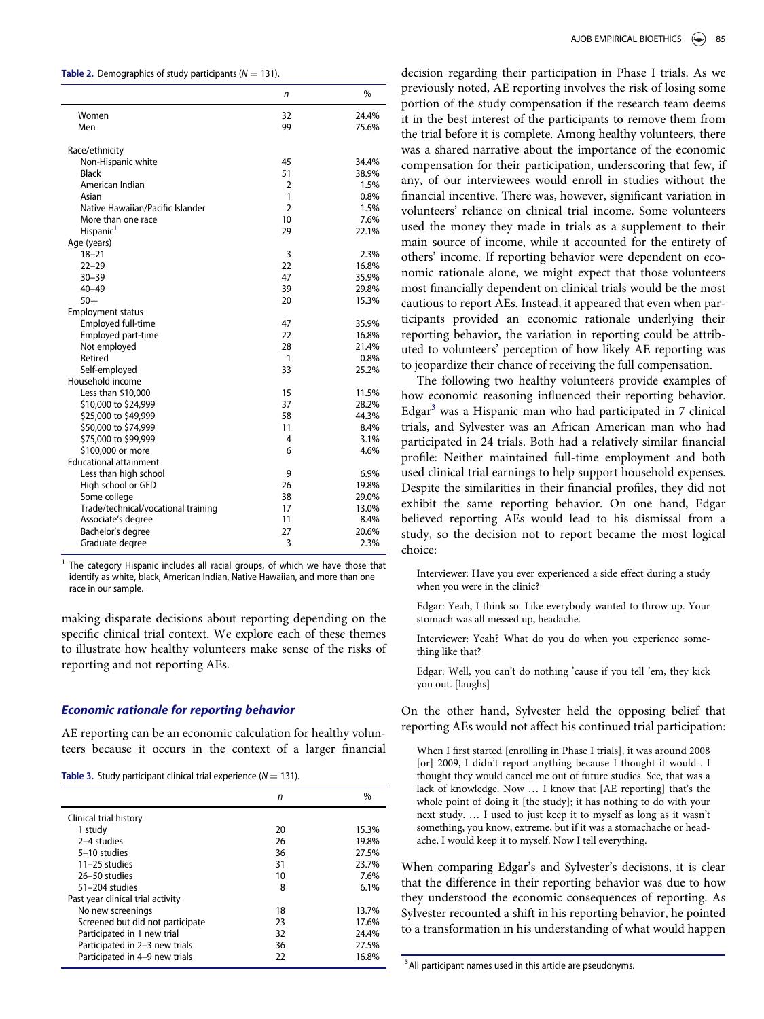<span id="page-3-0"></span>

|  |  |  | Table 2. Demographics of study participants ( $N = 131$ ). |
|--|--|--|------------------------------------------------------------|
|--|--|--|------------------------------------------------------------|

| Women<br>32<br>24.4%<br>99<br>Men<br>75.6%<br>Race/ethnicity<br>Non-Hispanic white<br>45<br>34.4%<br>51<br>Black<br>38.9%<br>American Indian<br>$\overline{2}$<br>1.5%<br>1<br>Asian<br>0.8%<br>$\overline{2}$<br>1.5%<br>Native Hawaiian/Pacific Islander<br>7.6%<br>More than one race<br>10<br>Hispanic <sup>1</sup><br>29<br>22.1%<br>Age (years)<br>$18 - 21$<br>3<br>2.3%<br>$22 - 29$<br>22<br>16.8%<br>47<br>$30 - 39$<br>35.9%<br>$40 - 49$<br>39<br>29.8%<br>$50+$<br>20<br>15.3%<br><b>Employment status</b><br>Employed full-time<br>47<br>35.9%<br>Employed part-time<br>22<br>16.8%<br>28<br>Not employed<br>21.4%<br>Retired<br>1<br>0.8%<br>33<br>Self-employed<br>25.2%<br>Household income<br>Less than \$10,000<br>15<br>11.5%<br>37<br>28.2%<br>\$10,000 to \$24,999<br>\$25,000 to \$49,999<br>58<br>44.3%<br>11<br>8.4%<br>\$50,000 to \$74,999<br>\$75,000 to \$99,999<br>4<br>3.1%<br>\$100,000 or more<br>6<br>4.6%<br><b>Educational attainment</b><br>Less than high school<br>6.9%<br>9<br>High school or GED<br>26<br>19.8%<br>Some college<br>38<br>29.0%<br>Trade/technical/vocational training<br>17<br>13.0%<br>11<br>Associate's degree<br>8.4%<br>27<br>Bachelor's degree<br>20.6%<br>Graduate degree<br>3<br>2.3% | n | $\frac{0}{0}$ |
|-------------------------------------------------------------------------------------------------------------------------------------------------------------------------------------------------------------------------------------------------------------------------------------------------------------------------------------------------------------------------------------------------------------------------------------------------------------------------------------------------------------------------------------------------------------------------------------------------------------------------------------------------------------------------------------------------------------------------------------------------------------------------------------------------------------------------------------------------------------------------------------------------------------------------------------------------------------------------------------------------------------------------------------------------------------------------------------------------------------------------------------------------------------------------------------------------------------------------------------------------------|---|---------------|
|                                                                                                                                                                                                                                                                                                                                                                                                                                                                                                                                                                                                                                                                                                                                                                                                                                                                                                                                                                                                                                                                                                                                                                                                                                                       |   |               |
|                                                                                                                                                                                                                                                                                                                                                                                                                                                                                                                                                                                                                                                                                                                                                                                                                                                                                                                                                                                                                                                                                                                                                                                                                                                       |   |               |
|                                                                                                                                                                                                                                                                                                                                                                                                                                                                                                                                                                                                                                                                                                                                                                                                                                                                                                                                                                                                                                                                                                                                                                                                                                                       |   |               |
|                                                                                                                                                                                                                                                                                                                                                                                                                                                                                                                                                                                                                                                                                                                                                                                                                                                                                                                                                                                                                                                                                                                                                                                                                                                       |   |               |
|                                                                                                                                                                                                                                                                                                                                                                                                                                                                                                                                                                                                                                                                                                                                                                                                                                                                                                                                                                                                                                                                                                                                                                                                                                                       |   |               |
|                                                                                                                                                                                                                                                                                                                                                                                                                                                                                                                                                                                                                                                                                                                                                                                                                                                                                                                                                                                                                                                                                                                                                                                                                                                       |   |               |
|                                                                                                                                                                                                                                                                                                                                                                                                                                                                                                                                                                                                                                                                                                                                                                                                                                                                                                                                                                                                                                                                                                                                                                                                                                                       |   |               |
|                                                                                                                                                                                                                                                                                                                                                                                                                                                                                                                                                                                                                                                                                                                                                                                                                                                                                                                                                                                                                                                                                                                                                                                                                                                       |   |               |
|                                                                                                                                                                                                                                                                                                                                                                                                                                                                                                                                                                                                                                                                                                                                                                                                                                                                                                                                                                                                                                                                                                                                                                                                                                                       |   |               |
|                                                                                                                                                                                                                                                                                                                                                                                                                                                                                                                                                                                                                                                                                                                                                                                                                                                                                                                                                                                                                                                                                                                                                                                                                                                       |   |               |
|                                                                                                                                                                                                                                                                                                                                                                                                                                                                                                                                                                                                                                                                                                                                                                                                                                                                                                                                                                                                                                                                                                                                                                                                                                                       |   |               |
|                                                                                                                                                                                                                                                                                                                                                                                                                                                                                                                                                                                                                                                                                                                                                                                                                                                                                                                                                                                                                                                                                                                                                                                                                                                       |   |               |
|                                                                                                                                                                                                                                                                                                                                                                                                                                                                                                                                                                                                                                                                                                                                                                                                                                                                                                                                                                                                                                                                                                                                                                                                                                                       |   |               |
|                                                                                                                                                                                                                                                                                                                                                                                                                                                                                                                                                                                                                                                                                                                                                                                                                                                                                                                                                                                                                                                                                                                                                                                                                                                       |   |               |
|                                                                                                                                                                                                                                                                                                                                                                                                                                                                                                                                                                                                                                                                                                                                                                                                                                                                                                                                                                                                                                                                                                                                                                                                                                                       |   |               |
|                                                                                                                                                                                                                                                                                                                                                                                                                                                                                                                                                                                                                                                                                                                                                                                                                                                                                                                                                                                                                                                                                                                                                                                                                                                       |   |               |
|                                                                                                                                                                                                                                                                                                                                                                                                                                                                                                                                                                                                                                                                                                                                                                                                                                                                                                                                                                                                                                                                                                                                                                                                                                                       |   |               |
|                                                                                                                                                                                                                                                                                                                                                                                                                                                                                                                                                                                                                                                                                                                                                                                                                                                                                                                                                                                                                                                                                                                                                                                                                                                       |   |               |
|                                                                                                                                                                                                                                                                                                                                                                                                                                                                                                                                                                                                                                                                                                                                                                                                                                                                                                                                                                                                                                                                                                                                                                                                                                                       |   |               |
|                                                                                                                                                                                                                                                                                                                                                                                                                                                                                                                                                                                                                                                                                                                                                                                                                                                                                                                                                                                                                                                                                                                                                                                                                                                       |   |               |
|                                                                                                                                                                                                                                                                                                                                                                                                                                                                                                                                                                                                                                                                                                                                                                                                                                                                                                                                                                                                                                                                                                                                                                                                                                                       |   |               |
|                                                                                                                                                                                                                                                                                                                                                                                                                                                                                                                                                                                                                                                                                                                                                                                                                                                                                                                                                                                                                                                                                                                                                                                                                                                       |   |               |
|                                                                                                                                                                                                                                                                                                                                                                                                                                                                                                                                                                                                                                                                                                                                                                                                                                                                                                                                                                                                                                                                                                                                                                                                                                                       |   |               |
|                                                                                                                                                                                                                                                                                                                                                                                                                                                                                                                                                                                                                                                                                                                                                                                                                                                                                                                                                                                                                                                                                                                                                                                                                                                       |   |               |
|                                                                                                                                                                                                                                                                                                                                                                                                                                                                                                                                                                                                                                                                                                                                                                                                                                                                                                                                                                                                                                                                                                                                                                                                                                                       |   |               |
|                                                                                                                                                                                                                                                                                                                                                                                                                                                                                                                                                                                                                                                                                                                                                                                                                                                                                                                                                                                                                                                                                                                                                                                                                                                       |   |               |
|                                                                                                                                                                                                                                                                                                                                                                                                                                                                                                                                                                                                                                                                                                                                                                                                                                                                                                                                                                                                                                                                                                                                                                                                                                                       |   |               |
|                                                                                                                                                                                                                                                                                                                                                                                                                                                                                                                                                                                                                                                                                                                                                                                                                                                                                                                                                                                                                                                                                                                                                                                                                                                       |   |               |
|                                                                                                                                                                                                                                                                                                                                                                                                                                                                                                                                                                                                                                                                                                                                                                                                                                                                                                                                                                                                                                                                                                                                                                                                                                                       |   |               |
|                                                                                                                                                                                                                                                                                                                                                                                                                                                                                                                                                                                                                                                                                                                                                                                                                                                                                                                                                                                                                                                                                                                                                                                                                                                       |   |               |
|                                                                                                                                                                                                                                                                                                                                                                                                                                                                                                                                                                                                                                                                                                                                                                                                                                                                                                                                                                                                                                                                                                                                                                                                                                                       |   |               |
|                                                                                                                                                                                                                                                                                                                                                                                                                                                                                                                                                                                                                                                                                                                                                                                                                                                                                                                                                                                                                                                                                                                                                                                                                                                       |   |               |
|                                                                                                                                                                                                                                                                                                                                                                                                                                                                                                                                                                                                                                                                                                                                                                                                                                                                                                                                                                                                                                                                                                                                                                                                                                                       |   |               |
|                                                                                                                                                                                                                                                                                                                                                                                                                                                                                                                                                                                                                                                                                                                                                                                                                                                                                                                                                                                                                                                                                                                                                                                                                                                       |   |               |
|                                                                                                                                                                                                                                                                                                                                                                                                                                                                                                                                                                                                                                                                                                                                                                                                                                                                                                                                                                                                                                                                                                                                                                                                                                                       |   |               |
|                                                                                                                                                                                                                                                                                                                                                                                                                                                                                                                                                                                                                                                                                                                                                                                                                                                                                                                                                                                                                                                                                                                                                                                                                                                       |   |               |
|                                                                                                                                                                                                                                                                                                                                                                                                                                                                                                                                                                                                                                                                                                                                                                                                                                                                                                                                                                                                                                                                                                                                                                                                                                                       |   |               |

<span id="page-3-3"></span>The category Hispanic includes all racial groups, of which we have those that identify as white, black, American Indian, Native Hawaiian, and more than one race in our sample.

making disparate decisions about reporting depending on the specific clinical trial context. We explore each of these themes to illustrate how healthy volunteers make sense of the risks of reporting and not reporting AEs.

#### Economic rationale for reporting behavior

AE reporting can be an economic calculation for healthy volunteers because it occurs in the context of a larger financial

<span id="page-3-1"></span>

|  |  |  |  |  | Table 3. Study participant clinical trial experience ( $N = 131$ ). |  |  |
|--|--|--|--|--|---------------------------------------------------------------------|--|--|
|--|--|--|--|--|---------------------------------------------------------------------|--|--|

<span id="page-3-2"></span>

|                                   | n  | %     |
|-----------------------------------|----|-------|
| Clinical trial history            |    |       |
| 1 study                           | 20 | 15.3% |
| 2-4 studies                       | 26 | 19.8% |
| 5-10 studies                      | 36 | 27.5% |
| 11-25 studies                     | 31 | 23.7% |
| 26-50 studies                     | 10 | 7.6%  |
| 51-204 studies                    | 8  | 6.1%  |
| Past year clinical trial activity |    |       |
| No new screenings                 | 18 | 13.7% |
| Screened but did not participate  | 23 | 17.6% |
| Participated in 1 new trial       | 32 | 24.4% |
| Participated in 2-3 new trials    | 36 | 27.5% |
| Participated in 4-9 new trials    | 22 | 16.8% |
|                                   |    |       |

decision regarding their participation in Phase I trials. As we previously noted, AE reporting involves the risk of losing some portion of the study compensation if the research team deems it in the best interest of the participants to remove them from the trial before it is complete. Among healthy volunteers, there was a shared narrative about the importance of the economic compensation for their participation, underscoring that few, if any, of our interviewees would enroll in studies without the financial incentive. There was, however, significant variation in volunteers' reliance on clinical trial income. Some volunteers used the money they made in trials as a supplement to their main source of income, while it accounted for the entirety of others' income. If reporting behavior were dependent on economic rationale alone, we might expect that those volunteers most financially dependent on clinical trials would be the most cautious to report AEs. Instead, it appeared that even when participants provided an economic rationale underlying their reporting behavior, the variation in reporting could be attributed to volunteers' perception of how likely AE reporting was to jeopardize their chance of receiving the full compensation.

The following two healthy volunteers provide examples of how economic reasoning influenced their reporting behavior.  $Edgar<sup>3</sup>$  $Edgar<sup>3</sup>$  $Edgar<sup>3</sup>$  was a Hispanic man who had participated in 7 clinical trials, and Sylvester was an African American man who had participated in 24 trials. Both had a relatively similar financial profile: Neither maintained full-time employment and both used clinical trial earnings to help support household expenses. Despite the similarities in their financial profiles, they did not exhibit the same reporting behavior. On one hand, Edgar believed reporting AEs would lead to his dismissal from a study, so the decision not to report became the most logical choice:

Interviewer: Have you ever experienced a side effect during a study when you were in the clinic?

Edgar: Yeah, I think so. Like everybody wanted to throw up. Your stomach was all messed up, headache.

Interviewer: Yeah? What do you do when you experience something like that?

Edgar: Well, you can't do nothing 'cause if you tell 'em, they kick you out. [laughs]

On the other hand, Sylvester held the opposing belief that reporting AEs would not affect his continued trial participation:

When I first started [enrolling in Phase I trials], it was around 2008 [or] 2009, I didn't report anything because I thought it would-. I thought they would cancel me out of future studies. See, that was a lack of knowledge. Now … I know that [AE reporting] that's the whole point of doing it [the study]; it has nothing to do with your next study. … I used to just keep it to myself as long as it wasn't something, you know, extreme, but if it was a stomachache or headache, I would keep it to myself. Now I tell everything.

When comparing Edgar's and Sylvester's decisions, it is clear that the difference in their reporting behavior was due to how they understood the economic consequences of reporting. As Sylvester recounted a shift in his reporting behavior, he pointed to a transformation in his understanding of what would happen

<sup>3</sup> All participant names used in this article are pseudonyms.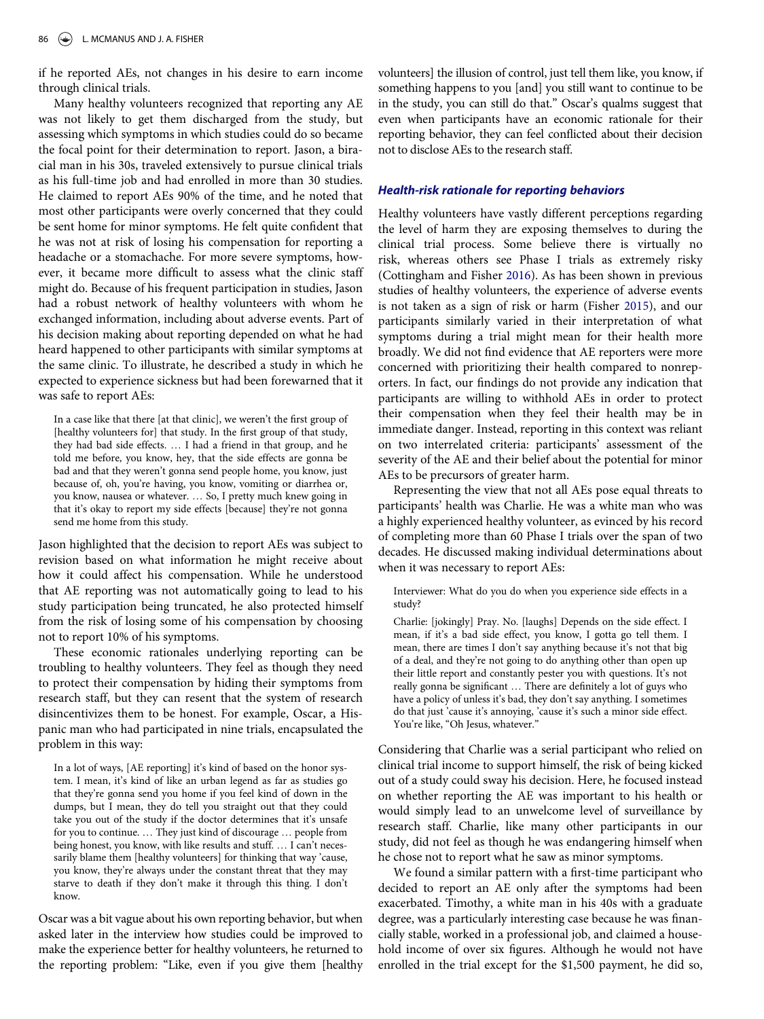if he reported AEs, not changes in his desire to earn income through clinical trials.

Many healthy volunteers recognized that reporting any AE was not likely to get them discharged from the study, but assessing which symptoms in which studies could do so became the focal point for their determination to report. Jason, a biracial man in his 30s, traveled extensively to pursue clinical trials as his full-time job and had enrolled in more than 30 studies. He claimed to report AEs 90% of the time, and he noted that most other participants were overly concerned that they could be sent home for minor symptoms. He felt quite confident that he was not at risk of losing his compensation for reporting a headache or a stomachache. For more severe symptoms, however, it became more difficult to assess what the clinic staff might do. Because of his frequent participation in studies, Jason had a robust network of healthy volunteers with whom he exchanged information, including about adverse events. Part of his decision making about reporting depended on what he had heard happened to other participants with similar symptoms at the same clinic. To illustrate, he described a study in which he expected to experience sickness but had been forewarned that it was safe to report AEs:

<span id="page-4-0"></span>In a case like that there [at that clinic], we weren't the first group of [healthy volunteers for] that study. In the first group of that study, they had bad side effects. … I had a friend in that group, and he told me before, you know, hey, that the side effects are gonna be bad and that they weren't gonna send people home, you know, just because of, oh, you're having, you know, vomiting or diarrhea or, you know, nausea or whatever. … So, I pretty much knew going in that it's okay to report my side effects [because] they're not gonna send me home from this study.

Jason highlighted that the decision to report AEs was subject to revision based on what information he might receive about how it could affect his compensation. While he understood that AE reporting was not automatically going to lead to his study participation being truncated, he also protected himself from the risk of losing some of his compensation by choosing not to report 10% of his symptoms.

These economic rationales underlying reporting can be troubling to healthy volunteers. They feel as though they need to protect their compensation by hiding their symptoms from research staff, but they can resent that the system of research disincentivizes them to be honest. For example, Oscar, a Hispanic man who had participated in nine trials, encapsulated the problem in this way:

In a lot of ways, [AE reporting] it's kind of based on the honor system. I mean, it's kind of like an urban legend as far as studies go that they're gonna send you home if you feel kind of down in the dumps, but I mean, they do tell you straight out that they could take you out of the study if the doctor determines that it's unsafe for you to continue. … They just kind of discourage … people from being honest, you know, with like results and stuff. … I can't necessarily blame them [healthy volunteers] for thinking that way 'cause, you know, they're always under the constant threat that they may starve to death if they don't make it through this thing. I don't know.

Oscar was a bit vague about his own reporting behavior, but when asked later in the interview how studies could be improved to make the experience better for healthy volunteers, he returned to the reporting problem: "Like, even if you give them [healthy volunteers] the illusion of control, just tell them like, you know, if something happens to you [and] you still want to continue to be in the study, you can still do that." Oscar's qualms suggest that even when participants have an economic rationale for their reporting behavior, they can feel conflicted about their decision not to disclose AEs to the research staff.

# Health-risk rationale for reporting behaviors

Healthy volunteers have vastly different perceptions regarding the level of harm they are exposing themselves to during the clinical trial process. Some believe there is virtually no risk, whereas others see Phase I trials as extremely risky (Cottingham and Fisher [2016\)](#page-7-1). As has been shown in previous studies of healthy volunteers, the experience of adverse events is not taken as a sign of risk or harm (Fisher [2015](#page-8-22)), and our participants similarly varied in their interpretation of what symptoms during a trial might mean for their health more broadly. We did not find evidence that AE reporters were more concerned with prioritizing their health compared to nonreporters. In fact, our findings do not provide any indication that participants are willing to withhold AEs in order to protect their compensation when they feel their health may be in immediate danger. Instead, reporting in this context was reliant on two interrelated criteria: participants' assessment of the severity of the AE and their belief about the potential for minor AEs to be precursors of greater harm.

Representing the view that not all AEs pose equal threats to participants' health was Charlie. He was a white man who was a highly experienced healthy volunteer, as evinced by his record of completing more than 60 Phase I trials over the span of two decades. He discussed making individual determinations about when it was necessary to report AEs:

Interviewer: What do you do when you experience side effects in a study?

Charlie: [jokingly] Pray. No. [laughs] Depends on the side effect. I mean, if it's a bad side effect, you know, I gotta go tell them. I mean, there are times I don't say anything because it's not that big of a deal, and they're not going to do anything other than open up their little report and constantly pester you with questions. It's not really gonna be significant … There are definitely a lot of guys who have a policy of unless it's bad, they don't say anything. I sometimes do that just 'cause it's annoying, 'cause it's such a minor side effect. You're like, "Oh Jesus, whatever."

Considering that Charlie was a serial participant who relied on clinical trial income to support himself, the risk of being kicked out of a study could sway his decision. Here, he focused instead on whether reporting the AE was important to his health or would simply lead to an unwelcome level of surveillance by research staff. Charlie, like many other participants in our study, did not feel as though he was endangering himself when he chose not to report what he saw as minor symptoms.

We found a similar pattern with a first-time participant who decided to report an AE only after the symptoms had been exacerbated. Timothy, a white man in his 40s with a graduate degree, was a particularly interesting case because he was financially stable, worked in a professional job, and claimed a household income of over six figures. Although he would not have enrolled in the trial except for the \$1,500 payment, he did so,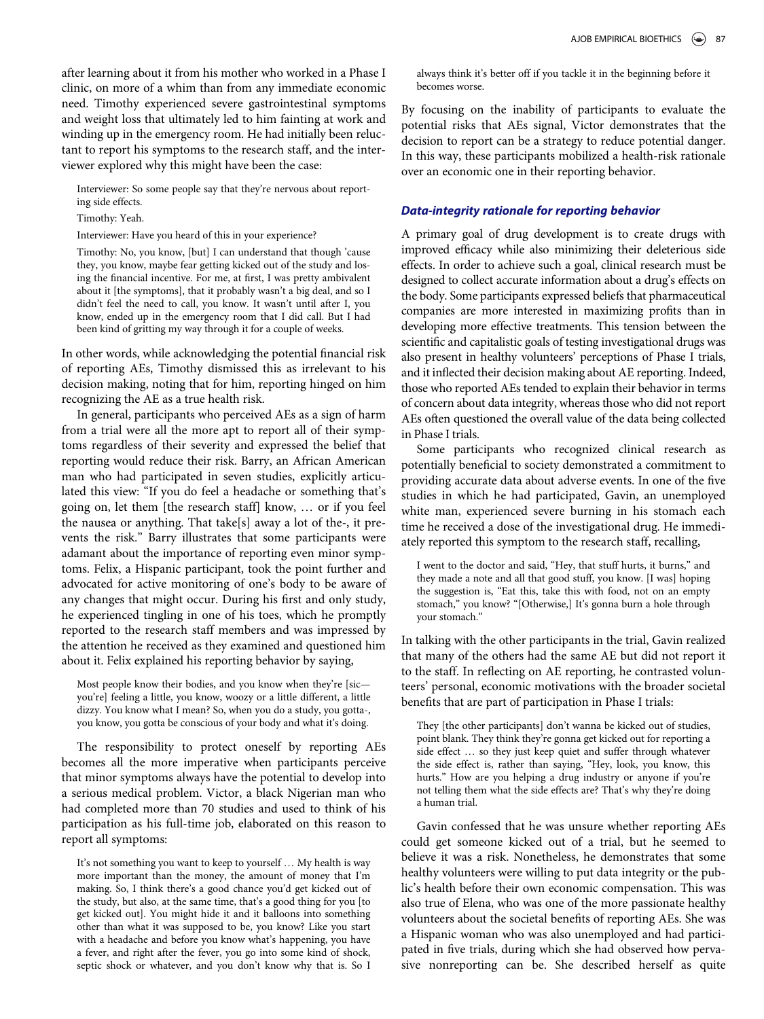after learning about it from his mother who worked in a Phase I clinic, on more of a whim than from any immediate economic need. Timothy experienced severe gastrointestinal symptoms and weight loss that ultimately led to him fainting at work and winding up in the emergency room. He had initially been reluctant to report his symptoms to the research staff, and the interviewer explored why this might have been the case:

Interviewer: So some people say that they're nervous about reporting side effects.

Timothy: Yeah.

Interviewer: Have you heard of this in your experience?

Timothy: No, you know, [but] I can understand that though 'cause they, you know, maybe fear getting kicked out of the study and losing the financial incentive. For me, at first, I was pretty ambivalent about it [the symptoms], that it probably wasn't a big deal, and so I didn't feel the need to call, you know. It wasn't until after I, you know, ended up in the emergency room that I did call. But I had been kind of gritting my way through it for a couple of weeks.

In other words, while acknowledging the potential financial risk of reporting AEs, Timothy dismissed this as irrelevant to his decision making, noting that for him, reporting hinged on him recognizing the AE as a true health risk.

In general, participants who perceived AEs as a sign of harm from a trial were all the more apt to report all of their symptoms regardless of their severity and expressed the belief that reporting would reduce their risk. Barry, an African American man who had participated in seven studies, explicitly articulated this view: "If you do feel a headache or something that's going on, let them [the research staff] know, … or if you feel the nausea or anything. That take[s] away a lot of the-, it prevents the risk." Barry illustrates that some participants were adamant about the importance of reporting even minor symptoms. Felix, a Hispanic participant, took the point further and advocated for active monitoring of one's body to be aware of any changes that might occur. During his first and only study, he experienced tingling in one of his toes, which he promptly reported to the research staff members and was impressed by the attention he received as they examined and questioned him about it. Felix explained his reporting behavior by saying,

Most people know their bodies, and you know when they're [sic you're] feeling a little, you know, woozy or a little different, a little dizzy. You know what I mean? So, when you do a study, you gotta-, you know, you gotta be conscious of your body and what it's doing.

The responsibility to protect oneself by reporting AEs becomes all the more imperative when participants perceive that minor symptoms always have the potential to develop into a serious medical problem. Victor, a black Nigerian man who had completed more than 70 studies and used to think of his participation as his full-time job, elaborated on this reason to report all symptoms:

It's not something you want to keep to yourself … My health is way more important than the money, the amount of money that I'm making. So, I think there's a good chance you'd get kicked out of the study, but also, at the same time, that's a good thing for you [to get kicked out]. You might hide it and it balloons into something other than what it was supposed to be, you know? Like you start with a headache and before you know what's happening, you have a fever, and right after the fever, you go into some kind of shock, septic shock or whatever, and you don't know why that is. So I

always think it's better off if you tackle it in the beginning before it becomes worse.

By focusing on the inability of participants to evaluate the potential risks that AEs signal, Victor demonstrates that the decision to report can be a strategy to reduce potential danger. In this way, these participants mobilized a health-risk rationale over an economic one in their reporting behavior.

# Data-integrity rationale for reporting behavior

A primary goal of drug development is to create drugs with improved efficacy while also minimizing their deleterious side effects. In order to achieve such a goal, clinical research must be designed to collect accurate information about a drug's effects on the body. Some participants expressed beliefs that pharmaceutical companies are more interested in maximizing profits than in developing more effective treatments. This tension between the scientific and capitalistic goals of testing investigational drugs was also present in healthy volunteers' perceptions of Phase I trials, and it inflected their decision making about AE reporting. Indeed, those who reported AEs tended to explain their behavior in terms of concern about data integrity, whereas those who did not report AEs often questioned the overall value of the data being collected in Phase I trials.

Some participants who recognized clinical research as potentially beneficial to society demonstrated a commitment to providing accurate data about adverse events. In one of the five studies in which he had participated, Gavin, an unemployed white man, experienced severe burning in his stomach each time he received a dose of the investigational drug. He immediately reported this symptom to the research staff, recalling,

I went to the doctor and said, "Hey, that stuff hurts, it burns," and they made a note and all that good stuff, you know. [I was] hoping the suggestion is, "Eat this, take this with food, not on an empty stomach," you know? "[Otherwise,] It's gonna burn a hole through your stomach."

In talking with the other participants in the trial, Gavin realized that many of the others had the same AE but did not report it to the staff. In reflecting on AE reporting, he contrasted volunteers' personal, economic motivations with the broader societal benefits that are part of participation in Phase I trials:

They [the other participants] don't wanna be kicked out of studies, point blank. They think they're gonna get kicked out for reporting a side effect … so they just keep quiet and suffer through whatever the side effect is, rather than saying, "Hey, look, you know, this hurts." How are you helping a drug industry or anyone if you're not telling them what the side effects are? That's why they're doing a human trial.

Gavin confessed that he was unsure whether reporting AEs could get someone kicked out of a trial, but he seemed to believe it was a risk. Nonetheless, he demonstrates that some healthy volunteers were willing to put data integrity or the public's health before their own economic compensation. This was also true of Elena, who was one of the more passionate healthy volunteers about the societal benefits of reporting AEs. She was a Hispanic woman who was also unemployed and had participated in five trials, during which she had observed how pervasive nonreporting can be. She described herself as quite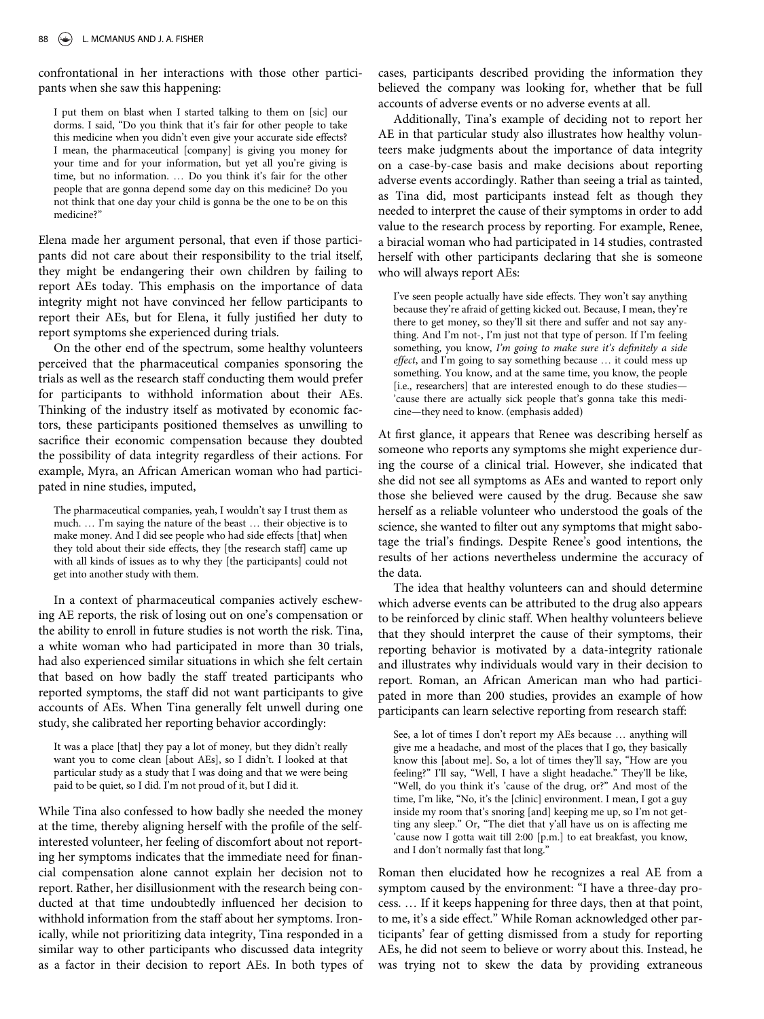confrontational in her interactions with those other participants when she saw this happening:

I put them on blast when I started talking to them on [sic] our dorms. I said, "Do you think that it's fair for other people to take this medicine when you didn't even give your accurate side effects? I mean, the pharmaceutical [company] is giving you money for your time and for your information, but yet all you're giving is time, but no information. … Do you think it's fair for the other people that are gonna depend some day on this medicine? Do you not think that one day your child is gonna be the one to be on this medicine?"

Elena made her argument personal, that even if those participants did not care about their responsibility to the trial itself, they might be endangering their own children by failing to report AEs today. This emphasis on the importance of data integrity might not have convinced her fellow participants to report their AEs, but for Elena, it fully justified her duty to report symptoms she experienced during trials.

On the other end of the spectrum, some healthy volunteers perceived that the pharmaceutical companies sponsoring the trials as well as the research staff conducting them would prefer for participants to withhold information about their AEs. Thinking of the industry itself as motivated by economic factors, these participants positioned themselves as unwilling to sacrifice their economic compensation because they doubted the possibility of data integrity regardless of their actions. For example, Myra, an African American woman who had participated in nine studies, imputed,

The pharmaceutical companies, yeah, I wouldn't say I trust them as much. … I'm saying the nature of the beast … their objective is to make money. And I did see people who had side effects [that] when they told about their side effects, they [the research staff] came up with all kinds of issues as to why they [the participants] could not get into another study with them.

In a context of pharmaceutical companies actively eschewing AE reports, the risk of losing out on one's compensation or the ability to enroll in future studies is not worth the risk. Tina, a white woman who had participated in more than 30 trials, had also experienced similar situations in which she felt certain that based on how badly the staff treated participants who reported symptoms, the staff did not want participants to give accounts of AEs. When Tina generally felt unwell during one study, she calibrated her reporting behavior accordingly:

It was a place [that] they pay a lot of money, but they didn't really want you to come clean [about AEs], so I didn't. I looked at that particular study as a study that I was doing and that we were being paid to be quiet, so I did. I'm not proud of it, but I did it.

While Tina also confessed to how badly she needed the money at the time, thereby aligning herself with the profile of the selfinterested volunteer, her feeling of discomfort about not reporting her symptoms indicates that the immediate need for financial compensation alone cannot explain her decision not to report. Rather, her disillusionment with the research being conducted at that time undoubtedly influenced her decision to withhold information from the staff about her symptoms. Ironically, while not prioritizing data integrity, Tina responded in a similar way to other participants who discussed data integrity as a factor in their decision to report AEs. In both types of cases, participants described providing the information they believed the company was looking for, whether that be full accounts of adverse events or no adverse events at all.

Additionally, Tina's example of deciding not to report her AE in that particular study also illustrates how healthy volunteers make judgments about the importance of data integrity on a case-by-case basis and make decisions about reporting adverse events accordingly. Rather than seeing a trial as tainted, as Tina did, most participants instead felt as though they needed to interpret the cause of their symptoms in order to add value to the research process by reporting. For example, Renee, a biracial woman who had participated in 14 studies, contrasted herself with other participants declaring that she is someone who will always report AEs:

I've seen people actually have side effects. They won't say anything because they're afraid of getting kicked out. Because, I mean, they're there to get money, so they'll sit there and suffer and not say anything. And I'm not-, I'm just not that type of person. If I'm feeling something, you know, I'm going to make sure it's definitely a side effect, and I'm going to say something because … it could mess up something. You know, and at the same time, you know, the people [i.e., researchers] that are interested enough to do these studies-'cause there are actually sick people that's gonna take this medicine—they need to know. (emphasis added)

At first glance, it appears that Renee was describing herself as someone who reports any symptoms she might experience during the course of a clinical trial. However, she indicated that she did not see all symptoms as AEs and wanted to report only those she believed were caused by the drug. Because she saw herself as a reliable volunteer who understood the goals of the science, she wanted to filter out any symptoms that might sabotage the trial's findings. Despite Renee's good intentions, the results of her actions nevertheless undermine the accuracy of the data.

The idea that healthy volunteers can and should determine which adverse events can be attributed to the drug also appears to be reinforced by clinic staff. When healthy volunteers believe that they should interpret the cause of their symptoms, their reporting behavior is motivated by a data-integrity rationale and illustrates why individuals would vary in their decision to report. Roman, an African American man who had participated in more than 200 studies, provides an example of how participants can learn selective reporting from research staff:

See, a lot of times I don't report my AEs because … anything will give me a headache, and most of the places that I go, they basically know this [about me]. So, a lot of times they'll say, "How are you feeling?" I'll say, "Well, I have a slight headache." They'll be like, "Well, do you think it's 'cause of the drug, or?" And most of the time, I'm like, "No, it's the [clinic] environment. I mean, I got a guy inside my room that's snoring [and] keeping me up, so I'm not getting any sleep." Or, "The diet that y'all have us on is affecting me 'cause now I gotta wait till 2:00 [p.m.] to eat breakfast, you know, and I don't normally fast that long."

Roman then elucidated how he recognizes a real AE from a symptom caused by the environment: "I have a three-day process. … If it keeps happening for three days, then at that point, to me, it's a side effect." While Roman acknowledged other participants' fear of getting dismissed from a study for reporting AEs, he did not seem to believe or worry about this. Instead, he was trying not to skew the data by providing extraneous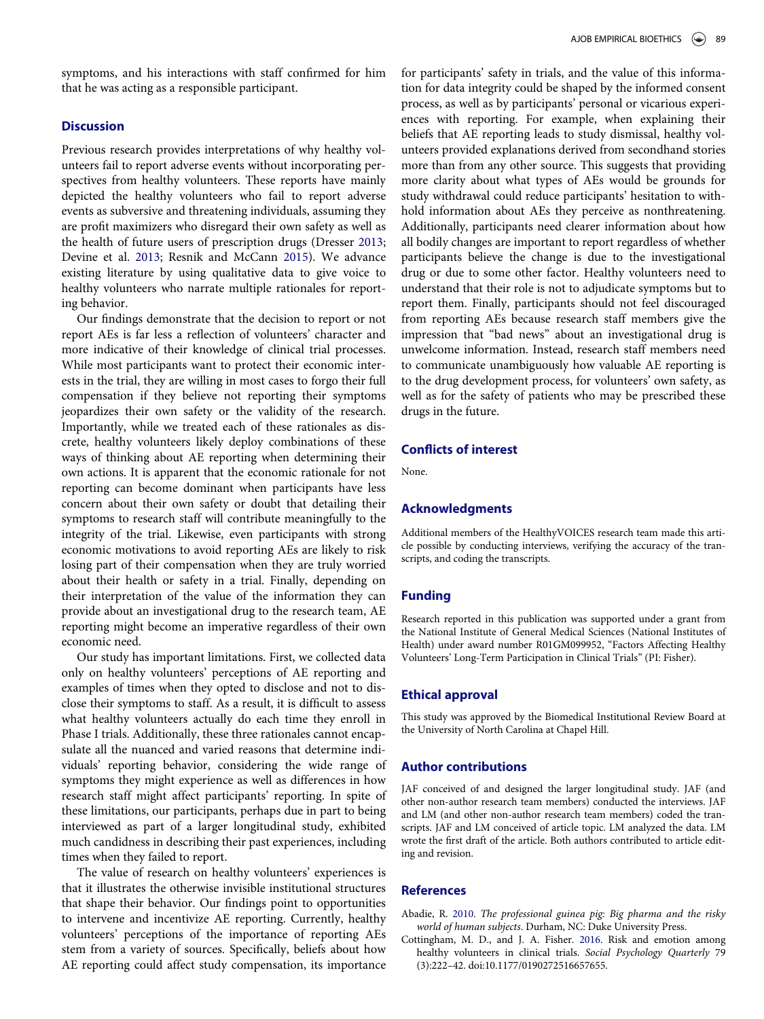symptoms, and his interactions with staff confirmed for him that he was acting as a responsible participant.

# **Discussion**

Previous research provides interpretations of why healthy volunteers fail to report adverse events without incorporating perspectives from healthy volunteers. These reports have mainly depicted the healthy volunteers who fail to report adverse events as subversive and threatening individuals, assuming they are profit maximizers who disregard their own safety as well as the health of future users of prescription drugs (Dresser [2013;](#page-8-14) Devine et al. [2013](#page-8-16); Resnik and McCann [2015\)](#page-8-15). We advance existing literature by using qualitative data to give voice to healthy volunteers who narrate multiple rationales for reporting behavior.

Our findings demonstrate that the decision to report or not report AEs is far less a reflection of volunteers' character and more indicative of their knowledge of clinical trial processes. While most participants want to protect their economic interests in the trial, they are willing in most cases to forgo their full compensation if they believe not reporting their symptoms jeopardizes their own safety or the validity of the research. Importantly, while we treated each of these rationales as discrete, healthy volunteers likely deploy combinations of these ways of thinking about AE reporting when determining their own actions. It is apparent that the economic rationale for not reporting can become dominant when participants have less concern about their own safety or doubt that detailing their symptoms to research staff will contribute meaningfully to the integrity of the trial. Likewise, even participants with strong economic motivations to avoid reporting AEs are likely to risk losing part of their compensation when they are truly worried about their health or safety in a trial. Finally, depending on their interpretation of the value of the information they can provide about an investigational drug to the research team, AE reporting might become an imperative regardless of their own economic need.

Our study has important limitations. First, we collected data only on healthy volunteers' perceptions of AE reporting and examples of times when they opted to disclose and not to disclose their symptoms to staff. As a result, it is difficult to assess what healthy volunteers actually do each time they enroll in Phase I trials. Additionally, these three rationales cannot encapsulate all the nuanced and varied reasons that determine individuals' reporting behavior, considering the wide range of symptoms they might experience as well as differences in how research staff might affect participants' reporting. In spite of these limitations, our participants, perhaps due in part to being interviewed as part of a larger longitudinal study, exhibited much candidness in describing their past experiences, including times when they failed to report.

<span id="page-7-1"></span><span id="page-7-0"></span>The value of research on healthy volunteers' experiences is that it illustrates the otherwise invisible institutional structures that shape their behavior. Our findings point to opportunities to intervene and incentivize AE reporting. Currently, healthy volunteers' perceptions of the importance of reporting AEs stem from a variety of sources. Specifically, beliefs about how AE reporting could affect study compensation, its importance

for participants' safety in trials, and the value of this information for data integrity could be shaped by the informed consent process, as well as by participants' personal or vicarious experiences with reporting. For example, when explaining their beliefs that AE reporting leads to study dismissal, healthy volunteers provided explanations derived from secondhand stories more than from any other source. This suggests that providing more clarity about what types of AEs would be grounds for study withdrawal could reduce participants' hesitation to withhold information about AEs they perceive as nonthreatening. Additionally, participants need clearer information about how all bodily changes are important to report regardless of whether participants believe the change is due to the investigational drug or due to some other factor. Healthy volunteers need to understand that their role is not to adjudicate symptoms but to report them. Finally, participants should not feel discouraged from reporting AEs because research staff members give the impression that "bad news" about an investigational drug is unwelcome information. Instead, research staff members need to communicate unambiguously how valuable AE reporting is to the drug development process, for volunteers' own safety, as well as for the safety of patients who may be prescribed these drugs in the future.

# Conflicts of interest

None.

## Acknowledgments

Additional members of the HealthyVOICES research team made this article possible by conducting interviews, verifying the accuracy of the transcripts, and coding the transcripts.

#### Funding

Research reported in this publication was supported under a grant from the National Institute of General Medical Sciences (National Institutes of Health) under award number R01GM099952, "Factors Affecting Healthy Volunteers' Long-Term Participation in Clinical Trials" (PI: Fisher).

### Ethical approval

This study was approved by the Biomedical Institutional Review Board at the University of North Carolina at Chapel Hill.

#### Author contributions

JAF conceived of and designed the larger longitudinal study. JAF (and other non-author research team members) conducted the interviews. JAF and LM (and other non-author research team members) coded the transcripts. JAF and LM conceived of article topic. LM analyzed the data. LM wrote the first draft of the article. Both authors contributed to article editing and revision.

#### References

- Abadie, R. [2010](#page-0-1). The professional guinea pig: Big pharma and the risky world of human subjects. Durham, NC: Duke University Press.
- Cottingham, M. D., and J. A. Fisher. [2016.](#page-4-0) Risk and emotion among healthy volunteers in clinical trials. Social Psychology Quarterly 79 (3):222–42. doi:[10.1177/0190272516657655.](https://doi.org/10.1177/0190272516657655)